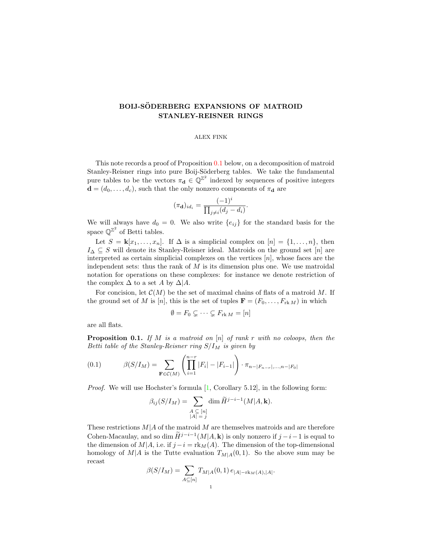## BOIJ-SÖDERBERG EXPANSIONS OF MATROID STANLEY-REISNER RINGS

## ALEX FINK

This note records a proof of Proposition [0.1](#page-0-0) below, on a decomposition of matroid Stanley-Reisner rings into pure Boij-Söderberg tables. We take the fundamental pure tables to be the vectors  $\pi_d \in \mathbb{Q}^{\mathbb{Z}^2}$  indexed by sequences of positive integers  $\mathbf{d} = (d_0, \dots, d_c)$ , such that the only nonzero components of  $\pi_{\mathbf{d}}$  are

$$
(\pi_{\mathbf{d}})_{id_i} = \frac{(-1)^i}{\prod_{j \neq i} (d_j - d_i)}.
$$

We will always have  $d_0 = 0$ . We also write  $\{e_{ij}\}\$ for the standard basis for the space  $\mathbb{Q}^{\mathbb{Z}^2}$  of Betti tables.

Let  $S = \mathbf{k}[x_1, \ldots, x_n]$ . If  $\Delta$  is a simplicial complex on  $[n] = \{1, \ldots, n\}$ , then  $I_{\Delta} \subseteq S$  will denote its Stanley-Reisner ideal. Matroids on the ground set [n] are interpreted as certain simplicial complexes on the vertices  $[n]$ , whose faces are the independent sets: thus the rank of  $M$  is its dimension plus one. We use matroidal notation for operations on these complexes: for instance we denote restriction of the complex  $\Delta$  to a set A by  $\Delta$ |A.

For concision, let  $\mathcal{C}(M)$  be the set of maximal chains of flats of a matroid M. If the ground set of M is [n], this is the set of tuples  $\mathbf{F} = (F_0, \ldots, F_{rkM})$  in which

$$
\emptyset = F_0 \subsetneq \cdots \subsetneq F_{\text{rk }M} = [n]
$$

<span id="page-0-0"></span>are all flats.

**Proposition 0.1.** If M is a matroid on  $[n]$  of rank r with no coloops, then the Betti table of the Stanley-Reisner ring  $S/I_M$  is given by

<span id="page-0-1"></span>(0.1) 
$$
\beta(S/I_M) = \sum_{\mathbf{F} \in \mathcal{C}(M)} \left( \prod_{i=1}^{n-r} |F_i| - |F_{i-1}| \right) \cdot \pi_{n-|F_{n-r}|, ..., n-|F_0|}
$$

Proof. We will use Hochster's formula [\[1,](#page-2-0) Corollary 5.12], in the following form:

$$
\beta_{ij}(S/I_M) = \sum_{\substack{A \subseteq [n] \\ |A| = j}} \dim \widetilde{H}^{j-i-1}(M|A, \mathbf{k}).
$$

These restrictions  $M|A$  of the matroid M are themselves matroids and are therefore Cohen-Macaulay, and so dim  $\widetilde{H}^{j-i-1}(M|A, \mathbf{k})$  is only nonzero if  $j-i-1$  is equal to the dimension of  $M|A$ , i.e. if  $j - i = \text{rk}_M(A)$ . The dimension of the top-dimensional homology of  $M|A$  is the Tutte evaluation  $T_{M|A}(0, 1)$ . So the above sum may be recast

$$
\beta(S/I_M) = \sum_{A \subseteq [n]} T_{M|A}(0,1) e_{|A|-\text{rk}_M(A),|A|}.
$$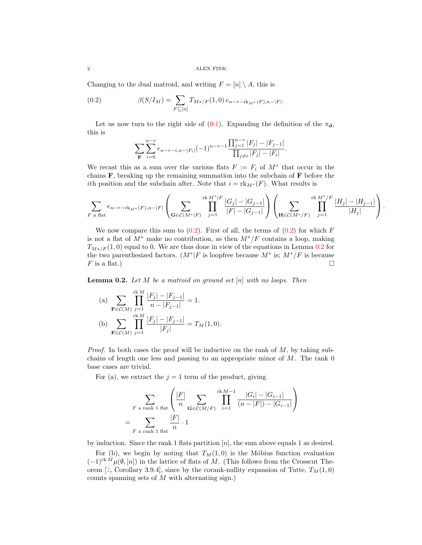Changing to the dual matroid, and writing  $F = [n] \setminus A$ , this is

(0.2) 
$$
\beta(S/I_M) = \sum_{F \subseteq [n]} T_{M*/F}(1,0) e_{n-r-\mathrm{rk}_M*(F),n-|F|}.
$$

Let us now turn to the right side of [\(0.1\)](#page-0-1). Expanding the definition of the  $\pi_d$ , this is

<span id="page-1-0"></span>
$$
\sum_{\mathbf{F}} \sum_{i=0}^{n-r} e_{n-r-i,n-|F_i|} (-1)^{n-r-1} \frac{\prod_{j=1}^{n-r} |F_j| - |F_{j-1}|}{\prod_{j \neq i} |F_j| - |F_i|}.
$$

We recast this as a sum over the various flats  $F := F_i$  of  $M^*$  that occur in the chains  $\bf{F}$ , breaking up the remaining summation into the subchain of  $\bf{F}$  before the ith position and the subchain after. Note that  $i = \text{rk}_{M^*}(F)$ . What results is

$$
\sum_{F \text{ a flat}} e_{n-r-\text{rk}_{M^*}(F),n-|F|} \left( \sum_{\mathbf{G} \in \mathcal{C}(M^*|F)} \prod_{j=1}^{\text{rk} M^*|F} \frac{|G_j| - |G_{j-1}|}{|F| - |G_{j-1}|} \right) \left( \sum_{\mathbf{H} \in \mathcal{C}(M^*/F)} \prod_{j=1}^{\text{rk} M^*/F} \frac{|H_j| - |H_{j-1}|}{|H_j|} \right).
$$

We now compare this sum to  $(0.2)$ . First of all, the terms of  $(0.2)$  for which F is not a flat of  $M^*$  make no contribution, as then  $M^*/F$  contains a loop, making  $T_{M*/F}(1,0)$  equal to 0. We are thus done in view of the equations in Lemma [0.2](#page-1-1) for the two parenthesized factors.  $(M^*|F)$  is loopfree because  $M^*$  is;  $M^*/F$  is because F is a flat.)  $\Box$ 

<span id="page-1-1"></span>**Lemma 0.2.** Let  $M$  be a matroid on ground set  $[n]$  with no loops. Then

(a) 
$$
\sum_{\mathbf{F}\in\mathcal{C}(M)} \prod_{j=1}^{\text{rk }M} \frac{|F_j| - |F_{j-1}|}{n - |F_{j-1}|} = 1.
$$
  
(b) 
$$
\sum_{\mathbf{F}\in\mathcal{C}(M)} \prod_{j=1}^{\text{rk }M} \frac{|F_j| - |F_{j-1}|}{|F_j|} = T_M(1,0).
$$

=

*Proof.* In both cases the proof will be inductive on the rank of  $M$ , by taking subchains of length one less and passing to an appropriate minor of  $M$ . The rank  $0$ base cases are trivial.

For (a), we extract the  $j = 1$  term of the product, giving

$$
\sum_{F \text{ a rank 1 flat}} \left( \frac{|F|}{n} \sum_{\mathbf{G} \in \mathcal{C}(M/F)} \prod_{i=1}^{\text{rk } M-1} \frac{|G_i| - |G_{i-1}|}{(n - |F|) - |G_{i-1}|} \right)
$$
  
= 
$$
\sum_{F \text{ a rank 1 flat}} \frac{|F|}{n} \cdot 1
$$

by induction. Since the rank 1 flats partition  $[n]$ , the sum above equals 1 as desired.

For (b), we begin by noting that  $T_M(1, 0)$  is the Möbius function evaluation  $(-1)^{\text{rk }M}\mu(\emptyset,[n])$  in the lattice of flats of M. (This follows from the Crosscut The-orem [\[2,](#page-2-1) Corollary 3.9.4], since by the corank-nullity expansion of Tutte,  $T_M(1,0)$ counts spanning sets of M with alternating sign.)